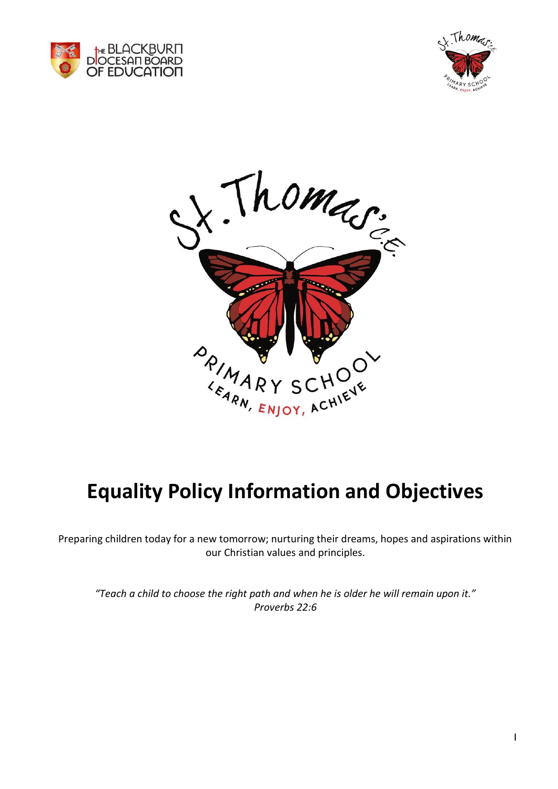





# **Equality Policy Information and Objectives**

Preparing children today for a new tomorrow; nurturing their dreams, hopes and aspirations within our Christian values and principles.

*"Teach a child to choose the right path and when he is older he will remain upon it." Proverbs 22:6*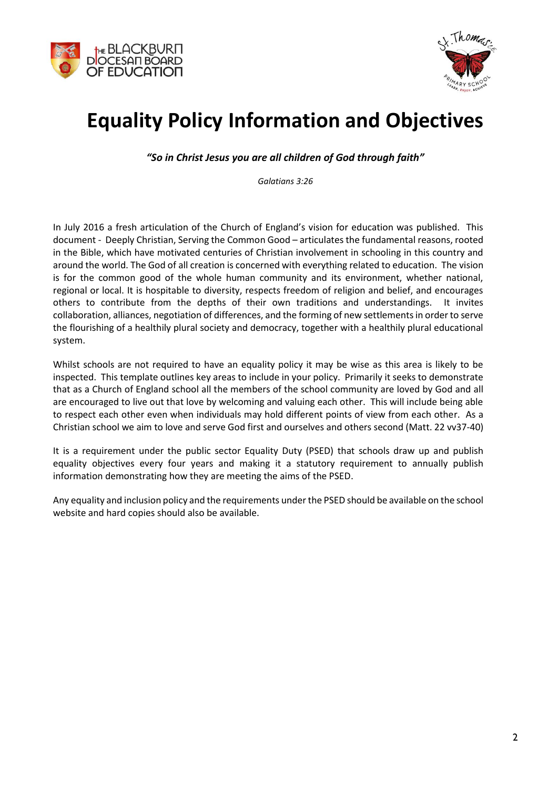



## **Equality Policy Information and Objectives**

*"So in Christ Jesus you are all children of God through faith"*

*Galatians 3:26*

In July 2016 a fresh articulation of the Church of England's vision for education was published. This document - Deeply Christian, Serving the Common Good – articulates the fundamental reasons, rooted in the Bible, which have motivated centuries of Christian involvement in schooling in this country and around the world. The God of all creation is concerned with everything related to education. The vision is for the common good of the whole human community and its environment, whether national, regional or local. It is hospitable to diversity, respects freedom of religion and belief, and encourages others to contribute from the depths of their own traditions and understandings. It invites collaboration, alliances, negotiation of differences, and the forming of new settlements in order to serve the flourishing of a healthily plural society and democracy, together with a healthily plural educational system.

Whilst schools are not required to have an equality policy it may be wise as this area is likely to be inspected. This template outlines key areas to include in your policy. Primarily it seeks to demonstrate that as a Church of England school all the members of the school community are loved by God and all are encouraged to live out that love by welcoming and valuing each other. This will include being able to respect each other even when individuals may hold different points of view from each other. As a Christian school we aim to love and serve God first and ourselves and others second (Matt. 22 vv37-40)

It is a requirement under the public sector Equality Duty (PSED) that schools draw up and publish equality objectives every four years and making it a statutory requirement to annually publish information demonstrating how they are meeting the aims of the PSED.

Any equality and inclusion policy and the requirements under the PSED should be available on the school website and hard copies should also be available.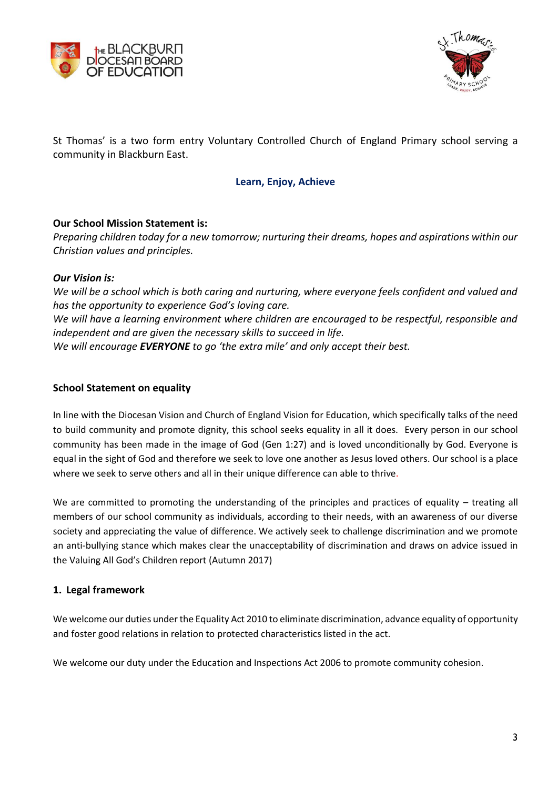



St Thomas' is a two form entry Voluntary Controlled Church of England Primary school serving a community in Blackburn East.

#### **Learn, Enjoy, Achieve**

### **Our School Mission Statement is:**

*Preparing children today for a new tomorrow; nurturing their dreams, hopes and aspirations within our Christian values and principles.*

#### *Our Vision is:*

*We will be a school which is both caring and nurturing, where everyone feels confident and valued and has the opportunity to experience God's loving care. We will have a learning environment where children are encouraged to be respectful, responsible and independent and are given the necessary skills to succeed in life. We will encourage EVERYONE to go 'the extra mile' and only accept their best.*

#### **School Statement on equality**

In line with the Diocesan Vision and Church of England Vision for Education, which specifically talks of the need to build community and promote dignity, this school seeks equality in all it does. Every person in our school community has been made in the image of God (Gen 1:27) and is loved unconditionally by God. Everyone is equal in the sight of God and therefore we seek to love one another as Jesus loved others. Our school is a place where we seek to serve others and all in their unique difference can able to thrive.

We are committed to promoting the understanding of the principles and practices of equality – treating all members of our school community as individuals, according to their needs, with an awareness of our diverse society and appreciating the value of difference. We actively seek to challenge discrimination and we promote an anti-bullying stance which makes clear the unacceptability of discrimination and draws on advice issued in the Valuing All God's Children report (Autumn 2017)

### **1. Legal framework**

We welcome our duties under the Equality Act 2010 to eliminate discrimination, advance equality of opportunity and foster good relations in relation to protected characteristics listed in the act.

We welcome our duty under the Education and Inspections Act 2006 to promote community cohesion.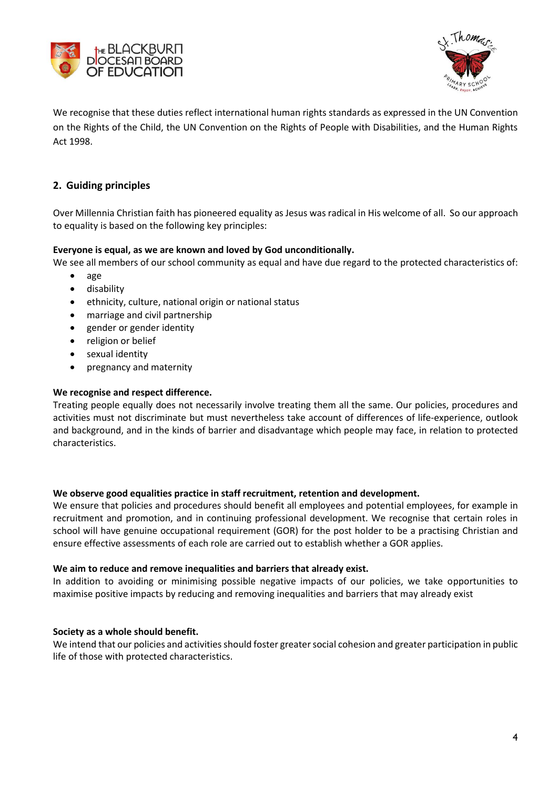



We recognise that these duties reflect international human rights standards as expressed in the UN Convention on the Rights of the Child, the UN Convention on the Rights of People with Disabilities, and the Human Rights Act 1998.

## **2. Guiding principles**

Over Millennia Christian faith has pioneered equality as Jesus was radical in His welcome of all. So our approach to equality is based on the following key principles:

#### **Everyone is equal, as we are known and loved by God unconditionally.**

We see all members of our school community as equal and have due regard to the protected characteristics of:

- age
- disability
- ethnicity, culture, national origin or national status
- marriage and civil partnership
- gender or gender identity
- religion or belief
- sexual identity
- pregnancy and maternity

#### **We recognise and respect difference.**

Treating people equally does not necessarily involve treating them all the same. Our policies, procedures and activities must not discriminate but must nevertheless take account of differences of life-experience, outlook and background, and in the kinds of barrier and disadvantage which people may face, in relation to protected characteristics.

#### **We observe good equalities practice in staff recruitment, retention and development.**

We ensure that policies and procedures should benefit all employees and potential employees, for example in recruitment and promotion, and in continuing professional development. We recognise that certain roles in school will have genuine occupational requirement (GOR) for the post holder to be a practising Christian and ensure effective assessments of each role are carried out to establish whether a GOR applies.

#### **We aim to reduce and remove inequalities and barriers that already exist.**

In addition to avoiding or minimising possible negative impacts of our policies, we take opportunities to maximise positive impacts by reducing and removing inequalities and barriers that may already exist

#### **Society as a whole should benefit.**

We intend that our policies and activities should foster greater social cohesion and greater participation in public life of those with protected characteristics.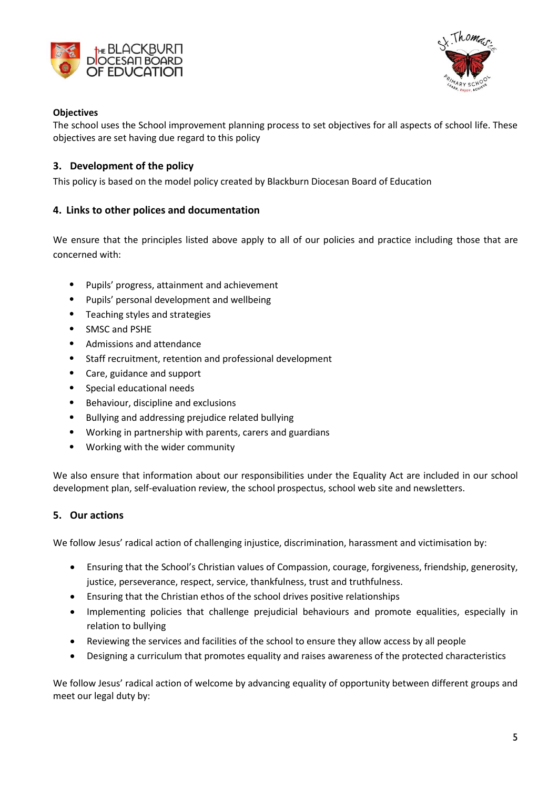



## **Objectives**

The school uses the School improvement planning process to set objectives for all aspects of school life. These objectives are set having due regard to this policy

## **3. Development of the policy**

This policy is based on the model policy created by Blackburn Diocesan Board of Education

## **4. Links to other polices and documentation**

We ensure that the principles listed above apply to all of our policies and practice including those that are concerned with:

- Pupils' progress, attainment and achievement
- Pupils' personal development and wellbeing
- Teaching styles and strategies
- SMSC and PSHE
- Admissions and attendance
- Staff recruitment, retention and professional development
- Care, guidance and support
- Special educational needs
- Behaviour, discipline and exclusions
- Bullying and addressing prejudice related bullying
- Working in partnership with parents, carers and guardians
- Working with the wider community

We also ensure that information about our responsibilities under the Equality Act are included in our school development plan, self-evaluation review, the school prospectus, school web site and newsletters.

### **5. Our actions**

We follow Jesus' radical action of challenging injustice, discrimination, harassment and victimisation by:

- Ensuring that the School's Christian values of Compassion, courage, forgiveness, friendship, generosity, justice, perseverance, respect, service, thankfulness, trust and truthfulness.
- Ensuring that the Christian ethos of the school drives positive relationships
- Implementing policies that challenge prejudicial behaviours and promote equalities, especially in relation to bullying
- Reviewing the services and facilities of the school to ensure they allow access by all people
- Designing a curriculum that promotes equality and raises awareness of the protected characteristics

We follow Jesus' radical action of welcome by advancing equality of opportunity between different groups and meet our legal duty by: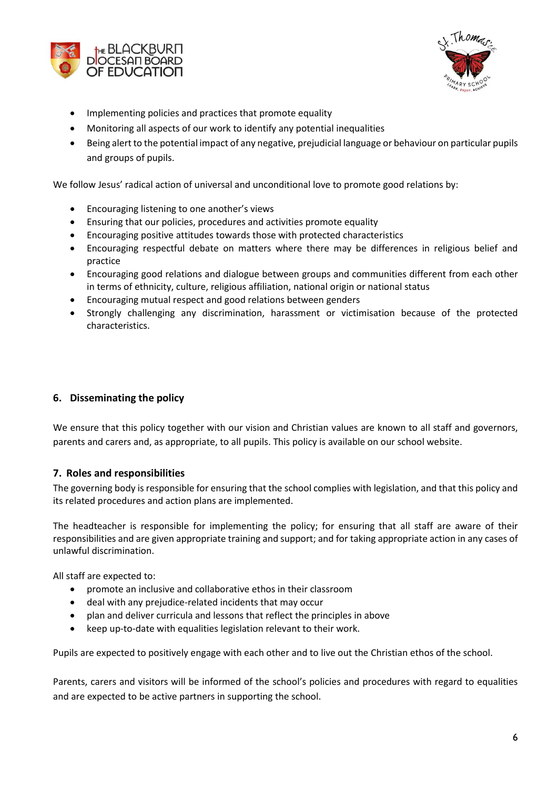



- Implementing policies and practices that promote equality
- Monitoring all aspects of our work to identify any potential inequalities
- Being alert to the potential impact of any negative, prejudicial language or behaviour on particular pupils and groups of pupils.

We follow Jesus' radical action of universal and unconditional love to promote good relations by:

- Encouraging listening to one another's views
- Ensuring that our policies, procedures and activities promote equality
- Encouraging positive attitudes towards those with protected characteristics
- Encouraging respectful debate on matters where there may be differences in religious belief and practice
- Encouraging good relations and dialogue between groups and communities different from each other in terms of ethnicity, culture, religious affiliation, national origin or national status
- Encouraging mutual respect and good relations between genders
- Strongly challenging any discrimination, harassment or victimisation because of the protected characteristics.

## **6. Disseminating the policy**

We ensure that this policy together with our vision and Christian values are known to all staff and governors, parents and carers and, as appropriate, to all pupils. This policy is available on our school website.

### **7. Roles and responsibilities**

The governing body is responsible for ensuring that the school complies with legislation, and that this policy and its related procedures and action plans are implemented.

The headteacher is responsible for implementing the policy; for ensuring that all staff are aware of their responsibilities and are given appropriate training and support; and for taking appropriate action in any cases of unlawful discrimination.

All staff are expected to:

- promote an inclusive and collaborative ethos in their classroom
- deal with any prejudice-related incidents that may occur
- plan and deliver curricula and lessons that reflect the principles in above
- keep up-to-date with equalities legislation relevant to their work.

Pupils are expected to positively engage with each other and to live out the Christian ethos of the school.

Parents, carers and visitors will be informed of the school's policies and procedures with regard to equalities and are expected to be active partners in supporting the school.